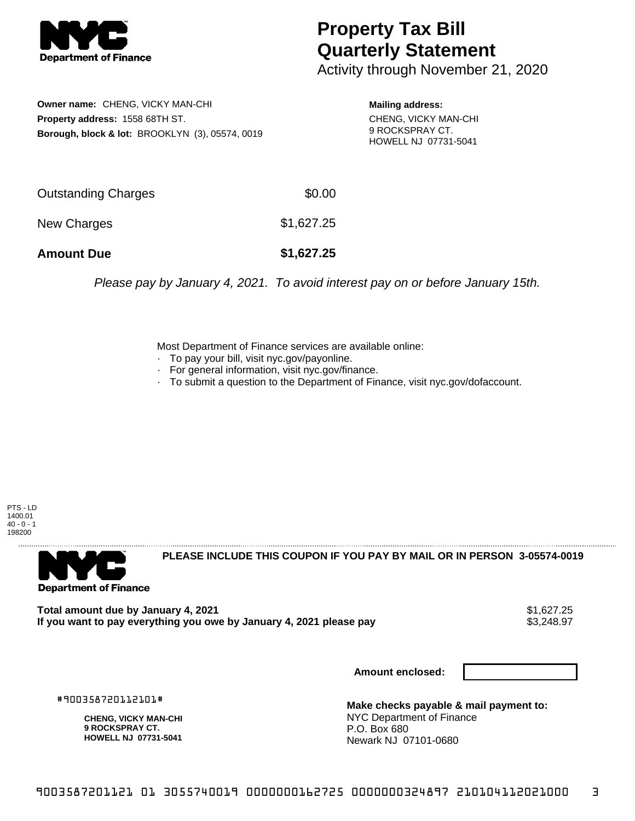

## **Property Tax Bill Quarterly Statement**

Activity through November 21, 2020

**Owner name:** CHENG, VICKY MAN-CHI **Property address:** 1558 68TH ST. **Borough, block & lot:** BROOKLYN (3), 05574, 0019

**Mailing address:** CHENG, VICKY MAN-CHI 9 ROCKSPRAY CT. HOWELL NJ 07731-5041

| <b>Amount Due</b>   | \$1,627.25 |
|---------------------|------------|
| New Charges         | \$1,627.25 |
| Outstanding Charges | \$0.00     |

Please pay by January 4, 2021. To avoid interest pay on or before January 15th.

Most Department of Finance services are available online:

- · To pay your bill, visit nyc.gov/payonline.
- For general information, visit nyc.gov/finance.
- · To submit a question to the Department of Finance, visit nyc.gov/dofaccount.

PTS - LD 1400.01  $40 - 0 - 1$ 198200



**PLEASE INCLUDE THIS COUPON IF YOU PAY BY MAIL OR IN PERSON 3-05574-0019** 

**Total amount due by January 4, 2021**<br>If you want to pay everything you owe by January 4, 2021 please pay **strategy of the State of the State State** S If you want to pay everything you owe by January 4, 2021 please pay

**Amount enclosed:**

#900358720112101#

**CHENG, VICKY MAN-CHI 9 ROCKSPRAY CT. HOWELL NJ 07731-5041**

**Make checks payable & mail payment to:** NYC Department of Finance P.O. Box 680 Newark NJ 07101-0680